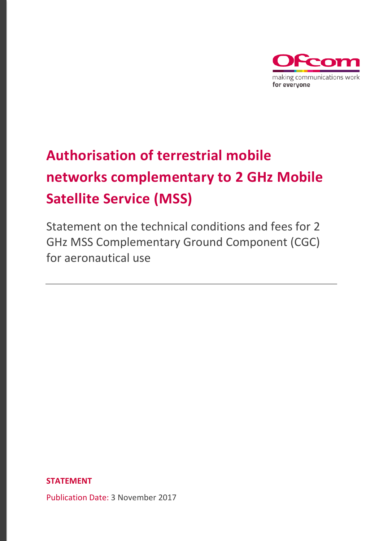

# **Authorisation of terrestrial mobile networks complementary to 2 GHz Mobile Satellite Service (MSS)**

Statement on the technical conditions and fees for 2 GHz MSS Complementary Ground Component (CGC) for aeronautical use

**STATEMENT**

Publication Date: 3 November 2017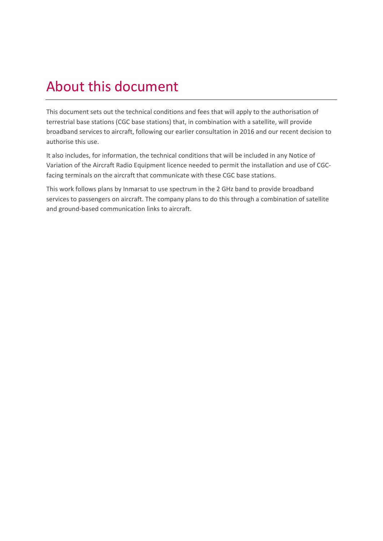## About this document

This document sets out the technical conditions and fees that will apply to the authorisation of terrestrial base stations (CGC base stations) that, in combination with a satellite, will provide broadband services to aircraft, following our earlier consultation in 2016 and our recent decision to authorise this use.

It also includes, for information, the technical conditions that will be included in any Notice of Variation of the Aircraft Radio Equipment licence needed to permit the installation and use of CGCfacing terminals on the aircraft that communicate with these CGC base stations.

This work follows plans by Inmarsat to use spectrum in the 2 GHz band to provide broadband services to passengers on aircraft. The company plans to do this through a combination of satellite and ground-based communication links to aircraft.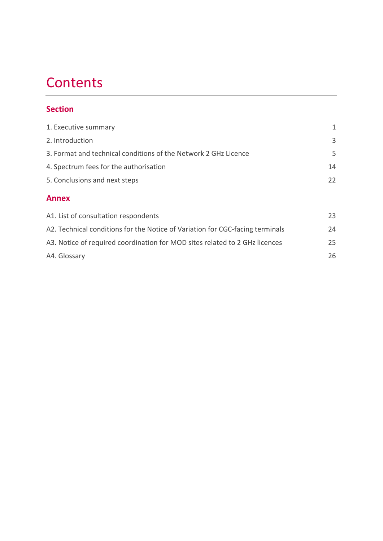## **Contents**

### **Section**

| 1. Executive summary                                            | $\mathbf{1}$ |
|-----------------------------------------------------------------|--------------|
| 2. Introduction                                                 | 3            |
| 3. Format and technical conditions of the Network 2 GHz Licence | 5            |
| 4. Spectrum fees for the authorisation                          | 14           |
| 5. Conclusions and next steps                                   | 22           |
| <b>Annex</b>                                                    |              |
| A1. List of consultation respondents                            | 23           |

| A2. Technical conditions for the Notice of Variation for CGC-facing terminals | 24 |
|-------------------------------------------------------------------------------|----|
| A3. Notice of required coordination for MOD sites related to 2 GHz licences   | 25 |
| A4. Glossary                                                                  | 26 |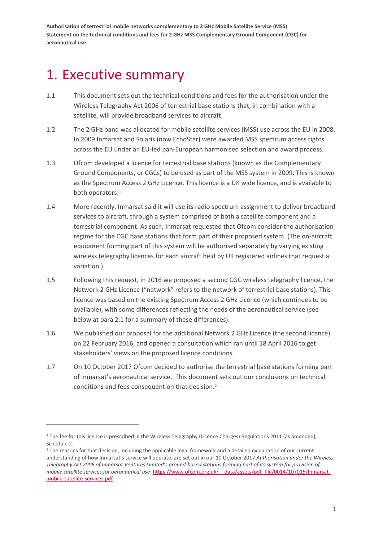## <span id="page-3-0"></span>1. Executive summary

- 1.1 This document sets out the technical conditions and fees for the authorisation under the Wireless Telegraphy Act 2006 of terrestrial base stations that, in combination with a satellite, will provide broadband services to aircraft.
- 1.2 The 2 GHz band was allocated for mobile satellite services (MSS) use across the EU in 2008. In 2009 Inmarsat and Solaris (now EchoStar) were awarded MSS spectrum access rights across the EU under an EU-led pan-European harmonised selection and award process.
- 1.3 Ofcom developed a licence for terrestrial base stations (known as the Complementary Ground Components, or CGCs) to be used as part of the MSS system in 2009. This is known as the Spectrum Access 2 GHz Licence. This licence is a UK wide licence, and is available to both operators.<sup>[1](#page-3-1)</sup>
- 1.4 More recently, Inmarsat said it will use its radio spectrum assignment to deliver broadband services to aircraft, through a system comprised of both a satellite component and a terrestrial component. As such, Inmarsat requested that Ofcom consider the authorisation regime for the CGC base stations that form part of their proposed system. (The on-aircraft equipment forming part of this system will be authorised separately by varying existing wireless telegraphy licences for each aircraft held by UK registered airlines that request a variation.)
- 1.5 Following this request, in 2016 we proposed a second CGC wireless telegraphy licence, the Network 2 GHz Licence ("network" refers to the network of terrestrial base stations). This licence was based on the existing Spectrum Access 2 GHz Licence (which continues to be available), with some differences reflecting the needs of the aeronautical service (see below at par[a 2.1](#page-5-1) for a summary of these differences).
- 1.6 We published our proposal for the additional Network 2 GHz Licence (the second licence) on 22 February 2016, and opened a consultation which ran until 18 April 2016 to get stakeholders' views on the proposed licence conditions.
- 1.7 On 10 October 2017 Ofcom decided to authorise the terrestrial base stations forming part of Inmarsat's aeronautical service. This document sets out our conclusions on technical conditions and fees consequent on that decision.<sup>[2](#page-3-2)</sup>

<span id="page-3-1"></span> $1$  The fee for this licence is prescribed in the Wireless Telegraphy (Licence Charges) Regulations 2011 (as amended), Schedule 2.

<span id="page-3-2"></span><sup>&</sup>lt;sup>2</sup> The reasons for that decision, including the applicable legal framework and a detailed explanation of our current understanding of how Inmarsat's service will operate, are set out in our 10 October 2017 *Authorisation under the Wireless Telegraphy Act 2006 of Inmarsat Ventures Limited's ground-based stations forming part of its system for provision of mobile satellite services for aeronautical use*: [https://www.ofcom.org.uk/\\_\\_data/assets/pdf\\_file/0014/107015/Inmarsat](https://www.ofcom.org.uk/__data/assets/pdf_file/0014/107015/Inmarsat-mobile-satellite-services.pdf)[mobile-satellite-services.pdf](https://www.ofcom.org.uk/__data/assets/pdf_file/0014/107015/Inmarsat-mobile-satellite-services.pdf)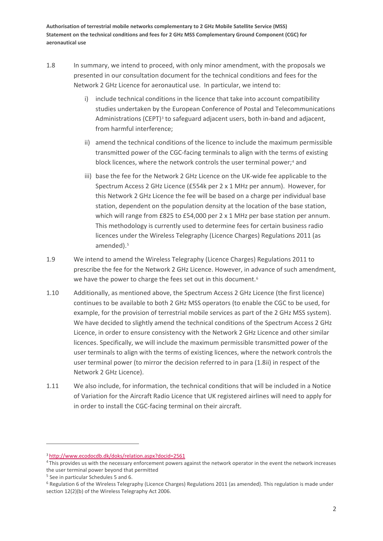- <span id="page-4-0"></span>1.8 In summary, we intend to proceed, with only minor amendment, with the proposals we presented in our consultation document for the technical conditions and fees for the Network 2 GHz Licence for aeronautical use. In particular, we intend to:
	- i) include technical conditions in the licence that take into account compatibility studies undertaken by the European Conference of Postal and Telecommunications Administrations (CEPT) $3$  to safeguard adjacent users, both in-band and adjacent, from harmful interference;
	- ii) amend the technical conditions of the licence to include the maximum permissible transmitted power of the CGC-facing terminals to align with the terms of existing block licences, where the network controls the user terminal power;<sup>[4](#page-4-2)</sup> and
	- iii) base the fee for the Network 2 GHz Licence on the UK-wide fee applicable to the Spectrum Access 2 GHz Licence (£554k per 2 x 1 MHz per annum). However, for this Network 2 GHz Licence the fee will be based on a charge per individual base station, dependent on the population density at the location of the base station, which will range from £825 to £54,000 per 2 x 1 MHz per base station per annum. This methodology is currently used to determine fees for certain business radio licences under the Wireless Telegraphy (Licence Charges) Regulations 2011 (as amended).<sup>[5](#page-4-3)</sup>
- 1.9 We intend to amend the Wireless Telegraphy (Licence Charges) Regulations 2011 to prescribe the fee for the Network 2 GHz Licence. However, in advance of such amendment, we have the power to charge the fees set out in this document.<sup>[6](#page-4-4)</sup>
- 1.10 Additionally, as mentioned above, the Spectrum Access 2 GHz Licence (the first licence) continues to be available to both 2 GHz MSS operators (to enable the CGC to be used, for example, for the provision of terrestrial mobile services as part of the 2 GHz MSS system). We have decided to slightly amend the technical conditions of the Spectrum Access 2 GHz Licence, in order to ensure consistency with the Network 2 GHz Licence and other similar licences. Specifically, we will include the maximum permissible transmitted power of the user terminals to align with the terms of existing licences, where the network controls the user terminal power (to mirror the decision referred to in para [\(1.8ii\)](#page-4-0) in respect of the Network 2 GHz Licence).
- 1.11 We also include, for information, the technical conditions that will be included in a Notice of Variation for the Aircraft Radio Licence that UK registered airlines will need to apply for in order to install the CGC-facing terminal on their aircraft.

.<br>-

<span id="page-4-2"></span><span id="page-4-1"></span><sup>&</sup>lt;sup>3</sup> http://www.ecodocdb.dk/doks/relation.aspx?docid=2561<br><sup>4</sup> This provides us with the necessary enforcement powers against the network operator in the event the network increases the user terminal power beyond that permitted

<span id="page-4-3"></span><sup>5</sup> See in particular Schedules 5 and 6.

<span id="page-4-4"></span><sup>6</sup> Regulation 6 of the Wireless Telegraphy (Licence Charges) Regulations 2011 (as amended). This regulation is made under section 12(2)(b) of the Wireless Telegraphy Act 2006.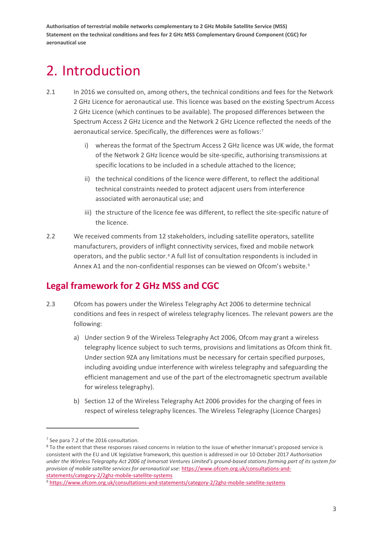## <span id="page-5-0"></span>2. Introduction

- <span id="page-5-1"></span>2.1 In 2016 we consulted on, among others, the technical conditions and fees for the Network 2 GHz Licence for aeronautical use. This licence was based on the existing Spectrum Access 2 GHz Licence (which continues to be available). The proposed differences between the Spectrum Access 2 GHz Licence and the Network 2 GHz Licence reflected the needs of the aeronautical service. Specifically, the differences were as follows:<sup>[7](#page-5-2)</sup>
	- i) whereas the format of the Spectrum Access 2 GHz licence was UK wide, the format of the Network 2 GHz licence would be site-specific, authorising transmissions at specific locations to be included in a schedule attached to the licence;
	- ii) the technical conditions of the licence were different, to reflect the additional technical constraints needed to protect adjacent users from interference associated with aeronautical use; and
	- iii) the structure of the licence fee was different, to reflect the site-specific nature of the licence.
- 2.2 We received comments from 12 stakeholders, including satellite operators, satellite manufacturers, providers of inflight connectivity services, fixed and mobile network operators, and the public sector.[8](#page-5-3) A full list of consultation respondents is included in Annex [A1](#page-25-0) and the non-confidential responses can be viewed on Ofcom's website.<sup>[9](#page-5-4)</sup>

## **Legal framework for 2 GHz MSS and CGC**

- 2.3 Ofcom has powers under the Wireless Telegraphy Act 2006 to determine technical conditions and fees in respect of wireless telegraphy licences. The relevant powers are the following:
	- a) Under section 9 of the Wireless Telegraphy Act 2006, Ofcom may grant a wireless telegraphy licence subject to such terms, provisions and limitations as Ofcom think fit. Under section 9ZA any limitations must be necessary for certain specified purposes, including avoiding undue interference with wireless telegraphy and safeguarding the efficient management and use of the part of the electromagnetic spectrum available for wireless telegraphy).
	- b) Section 12 of the Wireless Telegraphy Act 2006 provides for the charging of fees in respect of wireless telegraphy licences. The Wireless Telegraphy (Licence Charges)

<span id="page-5-2"></span><sup>7</sup> See para 7.2 of the 2016 consultation.

<span id="page-5-3"></span><sup>8</sup> To the extent that these responses raised concerns in relation to the issue of whether Inmarsat's proposed service is consistent with the EU and UK legislative framework, this question is addressed in our 10 October 2017 *Authorisation under the Wireless Telegraphy Act 2006 of Inmarsat Ventures Limited's ground-based stations forming part of its system for provision of mobile satellite services for aeronautical use*[: https://www.ofcom.org.uk/consultations-and](https://www.ofcom.org.uk/consultations-and-statements/category-2/2ghz-mobile-satellite-systems)[statements/category-2/2ghz-mobile-satellite-systems](https://www.ofcom.org.uk/consultations-and-statements/category-2/2ghz-mobile-satellite-systems)

<span id="page-5-4"></span><sup>9</sup> <https://www.ofcom.org.uk/consultations-and-statements/category-2/2ghz-mobile-satellite-systems>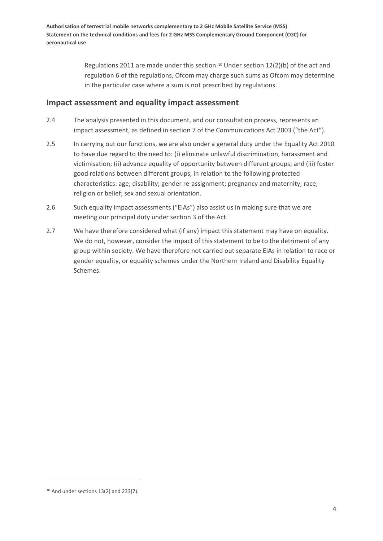> Regulations 2011 are made under this section.<sup>[10](#page-6-0)</sup> Under section  $12(2)(b)$  of the act and regulation 6 of the regulations, Ofcom may charge such sums as Ofcom may determine in the particular case where a sum is not prescribed by regulations.

#### **Impact assessment and equality impact assessment**

- 2.4 The analysis presented in this document, and our consultation process, represents an impact assessment, as defined in section 7 of the Communications Act 2003 ("the Act").
- 2.5 In carrying out our functions, we are also under a general duty under the Equality Act 2010 to have due regard to the need to: (i) eliminate unlawful discrimination, harassment and victimisation; (ii) advance equality of opportunity between different groups; and (iii) foster good relations between different groups, in relation to the following protected characteristics: age; disability; gender re-assignment; pregnancy and maternity; race; religion or belief; sex and sexual orientation.
- 2.6 Such equality impact assessments ("EIAs") also assist us in making sure that we are meeting our principal duty under section 3 of the Act.
- 2.7 We have therefore considered what (if any) impact this statement may have on equality. We do not, however, consider the impact of this statement to be to the detriment of any group within society. We have therefore not carried out separate EIAs in relation to race or gender equality, or equality schemes under the Northern Ireland and Disability Equality Schemes.

<span id="page-6-0"></span> $10$  And under sections 13(2) and 233(7).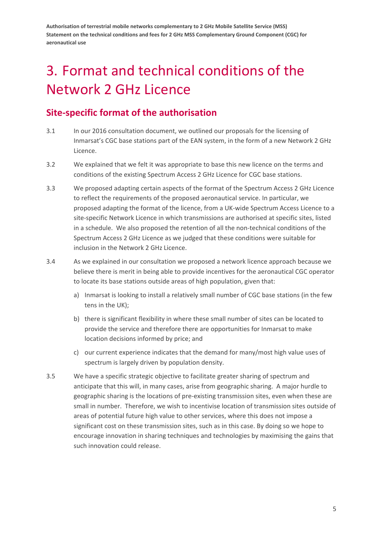# <span id="page-7-0"></span>3. Format and technical conditions of the Network 2 GHz Licence

## **Site-specific format of the authorisation**

- 3.1 In our 2016 consultation document, we outlined our proposals for the licensing of Inmarsat's CGC base stations part of the EAN system, in the form of a new Network 2 GHz Licence.
- 3.2 We explained that we felt it was appropriate to base this new licence on the terms and conditions of the existing Spectrum Access 2 GHz Licence for CGC base stations.
- 3.3 We proposed adapting certain aspects of the format of the Spectrum Access 2 GHz Licence to reflect the requirements of the proposed aeronautical service. In particular, we proposed adapting the format of the licence, from a UK-wide Spectrum Access Licence to a site-specific Network Licence in which transmissions are authorised at specific sites, listed in a schedule. We also proposed the retention of all the non-technical conditions of the Spectrum Access 2 GHz Licence as we judged that these conditions were suitable for inclusion in the Network 2 GHz Licence.
- 3.4 As we explained in our consultation we proposed a network licence approach because we believe there is merit in being able to provide incentives for the aeronautical CGC operator to locate its base stations outside areas of high population, given that:
	- a) Inmarsat is looking to install a relatively small number of CGC base stations (in the few tens in the UK);
	- b) there is significant flexibility in where these small number of sites can be located to provide the service and therefore there are opportunities for Inmarsat to make location decisions informed by price; and
	- c) our current experience indicates that the demand for many/most high value uses of spectrum is largely driven by population density.
- 3.5 We have a specific strategic objective to facilitate greater sharing of spectrum and anticipate that this will, in many cases, arise from geographic sharing. A major hurdle to geographic sharing is the locations of pre-existing transmission sites, even when these are small in number. Therefore, we wish to incentivise location of transmission sites outside of areas of potential future high value to other services, where this does not impose a significant cost on these transmission sites, such as in this case. By doing so we hope to encourage innovation in sharing techniques and technologies by maximising the gains that such innovation could release.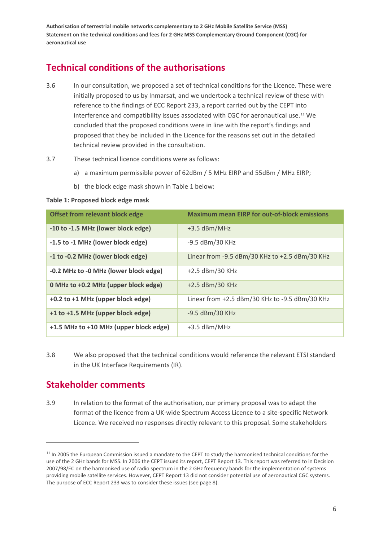## **Technical conditions of the authorisations**

- 3.6 In our consultation, we proposed a set of technical conditions for the Licence. These were initially proposed to us by Inmarsat, and we undertook a technical review of these with reference to the findings of ECC Report 233, a report carried out by the CEPT into interference and compatibility issues associated with CGC for aeronautical use.[11](#page-8-1) We concluded that the proposed conditions were in line with the report's findings and proposed that they be included in the Licence for the reasons set out in the detailed technical review provided in the consultation.
- 3.7 These technical licence conditions were as follows:
	- a) a maximum permissible power of 62dBm / 5 MHz EIRP and 55dBm / MHz EIRP;
	- b) the block edge mask shown in [Table 1](#page-8-0) below:

#### <span id="page-8-0"></span>**Table 1: Proposed block edge mask**

| <b>Offset from relevant block edge</b> | <b>Maximum mean EIRP for out-of-block emissions</b> |
|----------------------------------------|-----------------------------------------------------|
| -10 to -1.5 MHz (lower block edge)     | +3.5 dBm/MHz                                        |
| -1.5 to -1 MHz (lower block edge)      | -9.5 dBm/30 KHz                                     |
| -1 to -0.2 MHz (lower block edge)      | Linear from -9.5 dBm/30 KHz to +2.5 dBm/30 KHz      |
| -0.2 MHz to -0 MHz (lower block edge)  | +2.5 dBm/30 KHz                                     |
| 0 MHz to +0.2 MHz (upper block edge)   | +2.5 dBm/30 KHz                                     |
| +0.2 to +1 MHz (upper block edge)      | Linear from +2.5 dBm/30 KHz to -9.5 dBm/30 KHz      |
| +1 to +1.5 MHz (upper block edge)      | -9.5 dBm/30 KHz                                     |
| +1.5 MHz to +10 MHz (upper block edge) | +3.5 dBm/MHz                                        |

3.8 We also proposed that the technical conditions would reference the relevant ETSI standard in the UK Interface Requirements (IR).

### **Stakeholder comments**

**.** 

3.9 In relation to the format of the authorisation, our primary proposal was to adapt the format of the licence from a UK-wide Spectrum Access Licence to a site-specific Network Licence. We received no responses directly relevant to this proposal. Some stakeholders

<span id="page-8-1"></span> $11$  In 2005 the European Commission issued a mandate to the CEPT to study the harmonised technical conditions for the use of the 2 GHz bands for MSS. In 2006 the CEPT issued its report, CEPT Report 13. This report was referred to in Decision 2007/98/EC on the harmonised use of radio spectrum in the 2 GHz frequency bands for the implementation of systems providing mobile satellite services. However, CEPT Report 13 did not consider potential use of aeronautical CGC systems. The purpose of ECC Report 233 was to consider these issues (see page 8).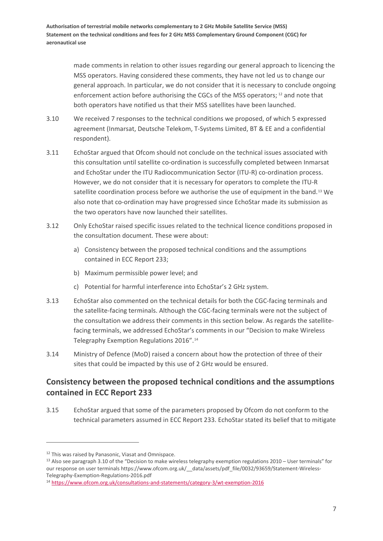> made comments in relation to other issues regarding our general approach to licencing the MSS operators. Having considered these comments, they have not led us to change our general approach. In particular, we do not consider that it is necessary to conclude ongoing enforcement action before authorising the CGCs of the MSS operators;<sup>[12](#page-9-0)</sup> and note that both operators have notified us that their MSS satellites have been launched.

- 3.10 We received 7 responses to the technical conditions we proposed, of which 5 expressed agreement (Inmarsat, Deutsche Telekom, T-Systems Limited, BT & EE and a confidential respondent).
- 3.11 EchoStar argued that Ofcom should not conclude on the technical issues associated with this consultation until satellite co-ordination is successfully completed between Inmarsat and EchoStar under the ITU Radiocommunication Sector (ITU-R) co-ordination process. However, we do not consider that it is necessary for operators to complete the ITU-R satellite coordination process before we authorise the use of equipment in the band.<sup>[13](#page-9-1)</sup> We also note that co-ordination may have progressed since EchoStar made its submission as the two operators have now launched their satellites.
- 3.12 Only EchoStar raised specific issues related to the technical licence conditions proposed in the consultation document. These were about:
	- a) Consistency between the proposed technical conditions and the assumptions contained in ECC Report 233;
	- b) Maximum permissible power level; and
	- c) Potential for harmful interference into EchoStar's 2 GHz system.
- 3.13 EchoStar also commented on the technical details for both the CGC-facing terminals and the satellite-facing terminals. Although the CGC-facing terminals were not the subject of the consultation we address their comments in this section below. As regards the satellitefacing terminals, we addressed EchoStar's comments in our "Decision to make Wireless Telegraphy Exemption Regulations 2016".[14](#page-9-2)
- 3.14 Ministry of Defence (MoD) raised a concern about how the protection of three of their sites that could be impacted by this use of 2 GHz would be ensured.

### **Consistency between the proposed technical conditions and the assumptions contained in ECC Report 233**

3.15 EchoStar argued that some of the parameters proposed by Ofcom do not conform to the technical parameters assumed in ECC Report 233. EchoStar stated its belief that to mitigate

<span id="page-9-0"></span><sup>&</sup>lt;sup>12</sup> This was raised by Panasonic. Viasat and Omnispace.

<span id="page-9-1"></span> $13$  Also see paragraph 3.10 of the "Decision to make wireless telegraphy exemption regulations 2010 – User terminals" for our response on user terminals https://www.ofcom.org.uk/\_\_data/assets/pdf\_file/0032/93659/Statement-Wireless-Telegraphy-Exemption-Regulations-2016.pdf

<span id="page-9-2"></span><sup>14</sup> <https://www.ofcom.org.uk/consultations-and-statements/category-3/wt-exemption-2016>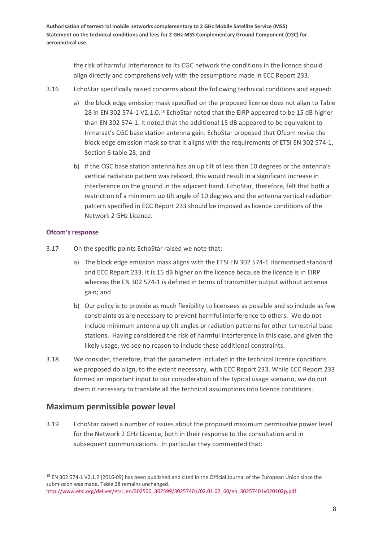> the risk of harmful interference to its CGC network the conditions in the licence should align directly and comprehensively with the assumptions made in ECC Report 233.

- 3.16 EchoStar specifically raised concerns about the following technical conditions and argued:
	- a) the block edge emission mask specified on the proposed licence does not align to Table 28 in EN 302 574-1 V2.1.0.[15](#page-10-0) EchoStar noted that the EIRP appeared to be 15 dB higher than EN 302 574-1. It noted that the additional 15 dB appeared to be equivalent to Inmarsat's CGC base station antenna gain. EchoStar proposed that Ofcom revise the block edge emission mask so that it aligns with the requirements of ETSI EN 302 574-1, Section 6 table 28; and
	- b) if the CGC base station antenna has an up tilt of less than 10 degrees or the antenna's vertical radiation pattern was relaxed, this would result in a significant increase in interference on the ground in the adjacent band. EchoStar, therefore, felt that both a restriction of a minimum up tilt angle of 10 degrees and the antenna vertical radiation pattern specified in ECC Report 233 should be imposed as licence conditions of the Network 2 GHz Licence.

#### **Ofcom's response**

.<br>-

- 3.17 On the specific points EchoStar raised we note that:
	- a) The block edge emission mask aligns with the ETSI EN 302 574-1 Harmonised standard and ECC Report 233. It is 15 dB higher on the licence because the licence is in EIRP whereas the EN 302 574-1 is defined in terms of transmitter output without antenna gain; and
	- b) Our policy is to provide as much flexibility to licensees as possible and so include as few constraints as are necessary to prevent harmful interference to others. We do not include minimum antenna up tilt angles or radiation patterns for other terrestrial base stations. Having considered the risk of harmful interference in this case, and given the likely usage, we see no reason to include these additional constraints.
- 3.18 We consider, therefore, that the parameters included in the technical licence conditions we proposed do align, to the extent necessary, with ECC Report 233. While ECC Report 233 formed an important input to our consideration of the typical usage scenario, we do not deem it necessary to translate all the technical assumptions into licence conditions.

#### **Maximum permissible power level**

3.19 EchoStar raised a number of issues about the proposed maximum permissible power level for the Network 2 GHz Licence, both in their response to the consultation and in subsequent communications. In particular they commented that:

<span id="page-10-0"></span><sup>15</sup> EN 302 574-1 V2.1.2 (2016-09) has been published and cited in the Official Journal of the European Union since the submission was made. Table 28 remains unchanged. [http://www.etsi.org/deliver/etsi\\_en/302500\\_302599/30257401/02.01.02\\_60/en\\_30257401v020102p.pdf](http://www.etsi.org/deliver/etsi_en/302500_302599/30257401/02.01.02_60/en_30257401v020102p.pdf)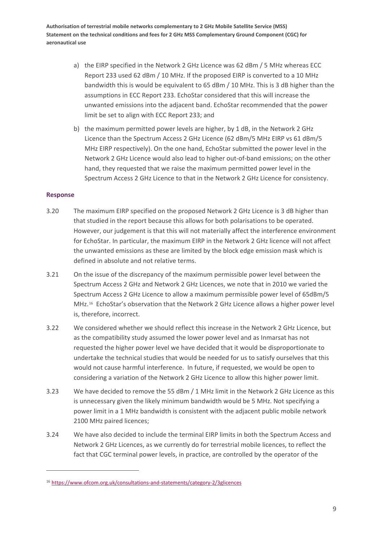- a) the EIRP specified in the Network 2 GHz Licence was 62 dBm / 5 MHz whereas ECC Report 233 used 62 dBm / 10 MHz. If the proposed EIRP is converted to a 10 MHz bandwidth this is would be equivalent to 65 dBm / 10 MHz. This is 3 dB higher than the assumptions in ECC Report 233. EchoStar considered that this will increase the unwanted emissions into the adjacent band. EchoStar recommended that the power limit be set to align with ECC Report 233; and
- b) the maximum permitted power levels are higher, by 1 dB, in the Network 2 GHz Licence than the Spectrum Access 2 GHz Licence (62 dBm/5 MHz EIRP vs 61 dBm/5 MHz EIRP respectively). On the one hand, EchoStar submitted the power level in the Network 2 GHz Licence would also lead to higher out-of-band emissions; on the other hand, they requested that we raise the maximum permitted power level in the Spectrum Access 2 GHz Licence to that in the Network 2 GHz Licence for consistency.

#### **Response**

- 3.20 The maximum EIRP specified on the proposed Network 2 GHz Licence is 3 dB higher than that studied in the report because this allows for both polarisations to be operated. However, our judgement is that this will not materially affect the interference environment for EchoStar. In particular, the maximum EIRP in the Network 2 GHz licence will not affect the unwanted emissions as these are limited by the block edge emission mask which is defined in absolute and not relative terms.
- 3.21 On the issue of the discrepancy of the maximum permissible power level between the Spectrum Access 2 GHz and Network 2 GHz Licences, we note that in 2010 we varied the Spectrum Access 2 GHz Licence to allow a maximum permissible power level of 65dBm/5 MHz.<sup>16</sup> EchoStar's observation that the Network 2 GHz Licence allows a higher power level is, therefore, incorrect.
- 3.22 We considered whether we should reflect this increase in the Network 2 GHz Licence, but as the compatibility study assumed the lower power level and as Inmarsat has not requested the higher power level we have decided that it would be disproportionate to undertake the technical studies that would be needed for us to satisfy ourselves that this would not cause harmful interference. In future, if requested, we would be open to considering a variation of the Network 2 GHz Licence to allow this higher power limit.
- <span id="page-11-1"></span>3.23 We have decided to remove the 55 dBm / 1 MHz limit in the Network 2 GHz Licence as this is unnecessary given the likely minimum bandwidth would be 5 MHz. Not specifying a power limit in a 1 MHz bandwidth is consistent with the adjacent public mobile network 2100 MHz paired licences;
- <span id="page-11-2"></span>3.24 We have also decided to include the terminal EIRP limits in both the Spectrum Access and Network 2 GHz Licences, as we currently do for terrestrial mobile licences, to reflect the fact that CGC terminal power levels, in practice, are controlled by the operator of the

<span id="page-11-0"></span><sup>16</sup> <https://www.ofcom.org.uk/consultations-and-statements/category-2/3glicences>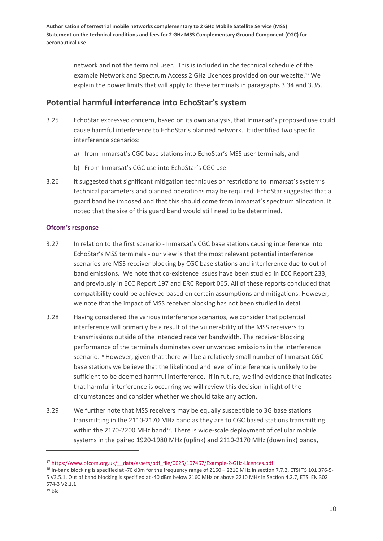> network and not the terminal user. This is included in the technical schedule of the example Network and Spectrum Access 2 GHz Licences provided on our website.[17](#page-12-0) We explain the power limits that will apply to these terminals in paragraph[s 3.34](#page-13-0) and [3.35.](#page-14-0)

#### **Potential harmful interference into EchoStar's system**

- 3.25 EchoStar expressed concern, based on its own analysis, that Inmarsat's proposed use could cause harmful interference to EchoStar's planned network. It identified two specific interference scenarios:
	- a) from Inmarsat's CGC base stations into EchoStar's MSS user terminals, and
	- b) From Inmarsat's CGC use into EchoStar's CGC use.
- 3.26 It suggested that significant mitigation techniques or restrictions to Inmarsat's system's technical parameters and planned operations may be required. EchoStar suggested that a guard band be imposed and that this should come from Inmarsat's spectrum allocation. It noted that the size of this guard band would still need to be determined.

#### **Ofcom's response**

 $\overline{a}$ 

- 3.27 In relation to the first scenario Inmarsat's CGC base stations causing interference into EchoStar's MSS terminals - our view is that the most relevant potential interference scenarios are MSS receiver blocking by CGC base stations and interference due to out of band emissions. We note that co-existence issues have been studied in ECC Report 233, and previously in ECC Report 197 and ERC Report 065. All of these reports concluded that compatibility could be achieved based on certain assumptions and mitigations. However, we note that the impact of MSS receiver blocking has not been studied in detail.
- 3.28 Having considered the various interference scenarios, we consider that potential interference will primarily be a result of the vulnerability of the MSS receivers to transmissions outside of the intended receiver bandwidth. The receiver blocking performance of the terminals dominates over unwanted emissions in the interference scenario.<sup>[18](#page-12-1)</sup> However, given that there will be a relatively small number of Inmarsat CGC base stations we believe that the likelihood and level of interference is unlikely to be sufficient to be deemed harmful interference. If in future, we find evidence that indicates that harmful interference is occurring we will review this decision in light of the circumstances and consider whether we should take any action.
- 3.29 We further note that MSS receivers may be equally susceptible to 3G base stations transmitting in the 2110-2170 MHz band as they are to CGC based stations transmitting within the 2170-2200 MHz band<sup>[19](#page-12-2)</sup>. There is wide-scale deployment of cellular mobile systems in the paired 1920-1980 MHz (uplink) and 2110-2170 MHz (downlink) bands,

<span id="page-12-0"></span><sup>&</sup>lt;sup>17</sup> https://www.ofcom.org.uk/ data/assets/pdf file/0025/107467/Example-2-GHz-Licences.pdf

<span id="page-12-2"></span><span id="page-12-1"></span><sup>&</sup>lt;sup>18</sup> In-band blocking is specified at -70 dBm for the frequency range of 2160 – 2210 MHz in section 7.7.2, ETSI TS 101 376-5-5 V3.5.1. Out of band blocking is specified at -40 dBm below 2160 MHz or above 2210 MHz in Section 4.2.7, ETSI EN 302 574-3 V2.1.1  $19$  bis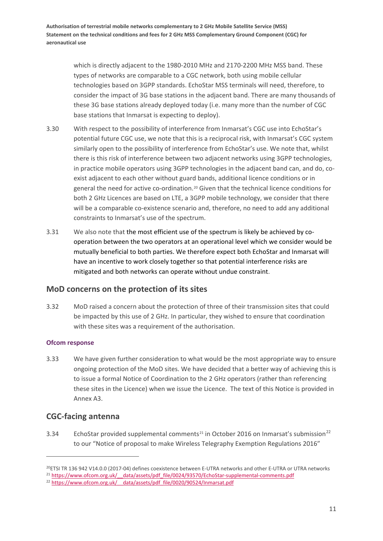> which is directly adjacent to the 1980-2010 MHz and 2170-2200 MHz MSS band. These types of networks are comparable to a CGC network, both using mobile cellular technologies based on 3GPP standards. EchoStar MSS terminals will need, therefore, to consider the impact of 3G base stations in the adjacent band. There are many thousands of these 3G base stations already deployed today (i.e. many more than the number of CGC base stations that Inmarsat is expecting to deploy).

- 3.30 With respect to the possibility of interference from Inmarsat's CGC use into EchoStar's potential future CGC use, we note that this is a reciprocal risk, with Inmarsat's CGC system similarly open to the possibility of interference from EchoStar's use. We note that, whilst there is this risk of interference between two adjacent networks using 3GPP technologies, in practice mobile operators using 3GPP technologies in the adjacent band can, and do, coexist adjacent to each other without guard bands, additional licence conditions or in general the need for active co-ordination.[20](#page-13-1) Given that the technical licence conditions for both 2 GHz Licences are based on LTE, a 3GPP mobile technology, we consider that there will be a comparable co-existence scenario and, therefore, no need to add any additional constraints to Inmarsat's use of the spectrum.
- 3.31 We also note that the most efficient use of the spectrum is likely be achieved by cooperation between the two operators at an operational level which we consider would be mutually beneficial to both parties. We therefore expect both EchoStar and Inmarsat will have an incentive to work closely together so that potential interference risks are mitigated and both networks can operate without undue constraint.

#### **MoD concerns on the protection of its sites**

3.32 MoD raised a concern about the protection of three of their transmission sites that could be impacted by this use of 2 GHz. In particular, they wished to ensure that coordination with these sites was a requirement of the authorisation.

#### **Ofcom response**

3.33 We have given further consideration to what would be the most appropriate way to ensure ongoing protection of the MoD sites. We have decided that a better way of achieving this is to issue a formal Notice of Coordination to the 2 GHz operators (rather than referencing these sites in the Licence) when we issue the Licence. The text of this Notice is provided in Annex [A3.](#page-27-0)

#### **CGC-facing antenna**

.<br>-

<span id="page-13-0"></span>3.34 EchoStar provided supplemental comments<sup>[21](#page-13-2)</sup> in October 2016 on Inmarsat's submission<sup>[22](#page-13-3)</sup> to our "Notice of proposal to make Wireless Telegraphy Exemption Regulations 2016"

<span id="page-13-1"></span><sup>20</sup>ETSI TR 136 942 V14.0.0 (2017-04) defines coexistence between E-UTRA networks and other E-UTRA or UTRA networks

<span id="page-13-2"></span><sup>&</sup>lt;sup>21</sup> https://www.ofcom.org.uk/ data/assets/pdf file/0024/93570/EchoStar-supplemental-comments.pdf

<span id="page-13-3"></span><sup>&</sup>lt;sup>22</sup> https://www.ofcom.org.uk/ data/assets/pdf\_file/0020/90524/Inmarsat.pdf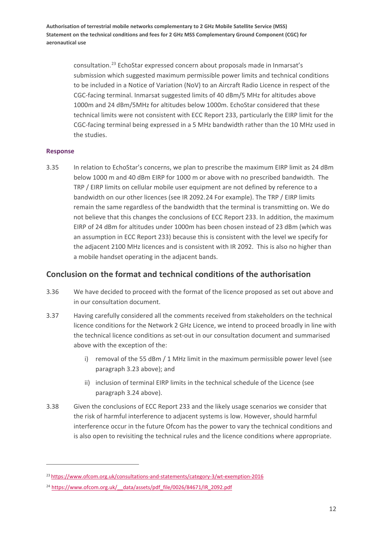> consultation.[23](#page-14-1) EchoStar expressed concern about proposals made in Inmarsat's submission which suggested maximum permissible power limits and technical conditions to be included in a Notice of Variation (NoV) to an Aircraft Radio Licence in respect of the CGC-facing terminal. Inmarsat suggested limits of 40 dBm/5 MHz for altitudes above 1000m and 24 dBm/5MHz for altitudes below 1000m. EchoStar considered that these technical limits were not consistent with ECC Report 233, particularly the EIRP limit for the CGC-facing terminal being expressed in a 5 MHz bandwidth rather than the 10 MHz used in the studies.

#### **Response**

 $\overline{a}$ 

<span id="page-14-0"></span>3.35 In relation to EchoStar's concerns, we plan to prescribe the maximum EIRP limit as 24 dBm below 1000 m and 40 dBm EIRP for 1000 m or above with no prescribed bandwidth. The TRP / EIRP limits on cellular mobile user equipment are not defined by reference to a bandwidth on our other licences (see IR 2092.[24](#page-14-2) For example). The TRP / EIRP limits remain the same regardless of the bandwidth that the terminal is transmitting on. We do not believe that this changes the conclusions of ECC Report 233. In addition, the maximum EIRP of 24 dBm for altitudes under 1000m has been chosen instead of 23 dBm (which was an assumption in ECC Report 233) because this is consistent with the level we specify for the adjacent 2100 MHz licences and is consistent with IR 2092. This is also no higher than a mobile handset operating in the adjacent bands.

#### **Conclusion on the format and technical conditions of the authorisation**

- 3.36 We have decided to proceed with the format of the licence proposed as set out above and in our consultation document.
- 3.37 Having carefully considered all the comments received from stakeholders on the technical licence conditions for the Network 2 GHz Licence, we intend to proceed broadly in line with the technical licence conditions as set-out in our consultation document and summarised above with the exception of the:
	- i) removal of the 55 dBm / 1 MHz limit in the maximum permissible power level (see paragraph [3.23](#page-11-1) above); and
	- ii) inclusion of terminal EIRP limits in the technical schedule of the Licence (see paragraph [3.24](#page-11-2) above).
- 3.38 Given the conclusions of ECC Report 233 and the likely usage scenarios we consider that the risk of harmful interference to adjacent systems is low. However, should harmful interference occur in the future Ofcom has the power to vary the technical conditions and is also open to revisiting the technical rules and the licence conditions where appropriate.

<span id="page-14-1"></span><sup>23</sup> <https://www.ofcom.org.uk/consultations-and-statements/category-3/wt-exemption-2016>

<span id="page-14-2"></span><sup>&</sup>lt;sup>24</sup> https://www.ofcom.org.uk/ data/assets/pdf\_file/0026/84671/IR\_2092.pdf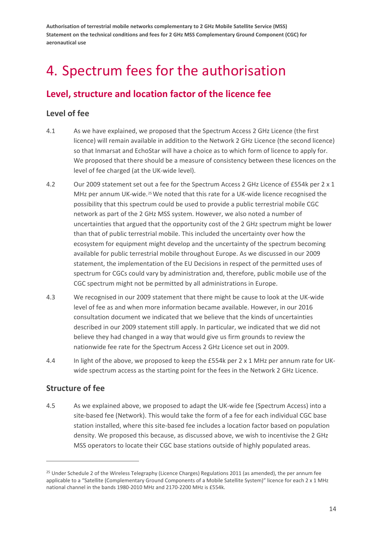## <span id="page-16-0"></span>4. Spectrum fees for the authorisation

## **Level, structure and location factor of the licence fee**

#### **Level of fee**

- 4.1 As we have explained, we proposed that the Spectrum Access 2 GHz Licence (the first licence) will remain available in addition to the Network 2 GHz Licence (the second licence) so that Inmarsat and EchoStar will have a choice as to which form of licence to apply for. We proposed that there should be a measure of consistency between these licences on the level of fee charged (at the UK-wide level).
- 4.2 Our 2009 statement set out a fee for the Spectrum Access 2 GHz Licence of £554k per 2 x 1 MHz per annum UK-wide.<sup>[25](#page-16-1)</sup> We noted that this rate for a UK-wide licence recognised the possibility that this spectrum could be used to provide a public terrestrial mobile CGC network as part of the 2 GHz MSS system. However, we also noted a number of uncertainties that argued that the opportunity cost of the 2 GHz spectrum might be lower than that of public terrestrial mobile. This included the uncertainty over how the ecosystem for equipment might develop and the uncertainty of the spectrum becoming available for public terrestrial mobile throughout Europe. As we discussed in our 2009 statement, the implementation of the EU Decisions in respect of the permitted uses of spectrum for CGCs could vary by administration and, therefore, public mobile use of the CGC spectrum might not be permitted by all administrations in Europe.
- 4.3 We recognised in our 2009 statement that there might be cause to look at the UK-wide level of fee as and when more information became available. However, in our 2016 consultation document we indicated that we believe that the kinds of uncertainties described in our 2009 statement still apply. In particular, we indicated that we did not believe they had changed in a way that would give us firm grounds to review the nationwide fee rate for the Spectrum Access 2 GHz Licence set out in 2009.
- 4.4 In light of the above, we proposed to keep the £554k per 2 x 1 MHz per annum rate for UKwide spectrum access as the starting point for the fees in the Network 2 GHz Licence.

#### **Structure of fee**

.<br>-

4.5 As we explained above, we proposed to adapt the UK-wide fee (Spectrum Access) into a site-based fee (Network). This would take the form of a fee for each individual CGC base station installed, where this site-based fee includes a location factor based on population density. We proposed this because, as discussed above, we wish to incentivise the 2 GHz MSS operators to locate their CGC base stations outside of highly populated areas.

<span id="page-16-1"></span><sup>&</sup>lt;sup>25</sup> Under Schedule 2 of the Wireless Telegraphy (Licence Charges) Regulations 2011 (as amended), the per annum fee applicable to a "Satellite (Complementary Ground Components of a Mobile Satellite System)" licence for each 2 x 1 MHz national channel in the bands 1980-2010 MHz and 2170-2200 MHz is £554k.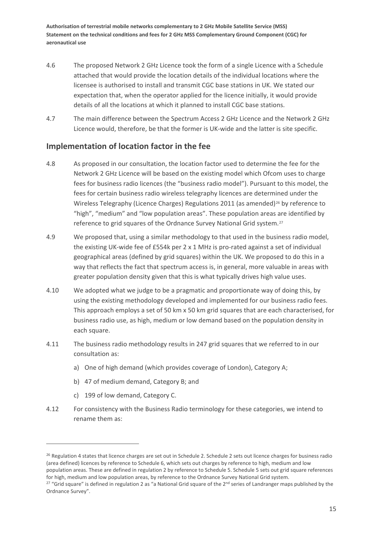- 4.6 The proposed Network 2 GHz Licence took the form of a single Licence with a Schedule attached that would provide the location details of the individual locations where the licensee is authorised to install and transmit CGC base stations in UK. We stated our expectation that, when the operator applied for the licence initially, it would provide details of all the locations at which it planned to install CGC base stations.
- 4.7 The main difference between the Spectrum Access 2 GHz Licence and the Network 2 GHz Licence would, therefore, be that the former is UK-wide and the latter is site specific.

#### **Implementation of location factor in the fee**

- 4.8 As proposed in our consultation, the location factor used to determine the fee for the Network 2 GHz Licence will be based on the existing model which Ofcom uses to charge fees for business radio licences (the "business radio model"). Pursuant to this model, the fees for certain business radio wireless telegraphy licences are determined under the Wireless Telegraphy (Licence Charges) Regulations 2011 (as amended)<sup>[26](#page-17-0)</sup> by reference to "high", "medium" and "low population areas". These population areas are identified by reference to grid squares of the Ordnance Survey National Grid system.<sup>[27](#page-17-1)</sup>
- 4.9 We proposed that, using a similar methodology to that used in the business radio model, the existing UK-wide fee of £554k per 2 x 1 MHz is pro-rated against a set of individual geographical areas (defined by grid squares) within the UK. We proposed to do this in a way that reflects the fact that spectrum access is, in general, more valuable in areas with greater population density given that this is what typically drives high value uses.
- 4.10 We adopted what we judge to be a pragmatic and proportionate way of doing this, by using the existing methodology developed and implemented for our business radio fees. This approach employs a set of 50 km x 50 km grid squares that are each characterised, for business radio use, as high, medium or low demand based on the population density in each square.
- 4.11 The business radio methodology results in 247 grid squares that we referred to in our consultation as:
	- a) One of high demand (which provides coverage of London), Category A;
	- b) 47 of medium demand, Category B; and
	- c) 199 of low demand, Category C.

.<br>-

4.12 For consistency with the Business Radio terminology for these categories, we intend to rename them as:

<span id="page-17-0"></span><sup>&</sup>lt;sup>26</sup> Regulation 4 states that licence charges are set out in Schedule 2. Schedule 2 sets out licence charges for business radio (area defined) licences by reference to Schedule 6, which sets out charges by reference to high, medium and low population areas. These are defined in regulation 2 by reference to Schedule 5. Schedule 5 sets out grid square references for high, medium and low population areas, by reference to the Ordnance Survey National Grid system.

<span id="page-17-1"></span><sup>&</sup>lt;sup>27</sup> "Grid square" is defined in regulation 2 as "a National Grid square of the  $2^{nd}$  series of Landranger maps published by the Ordnance Survey".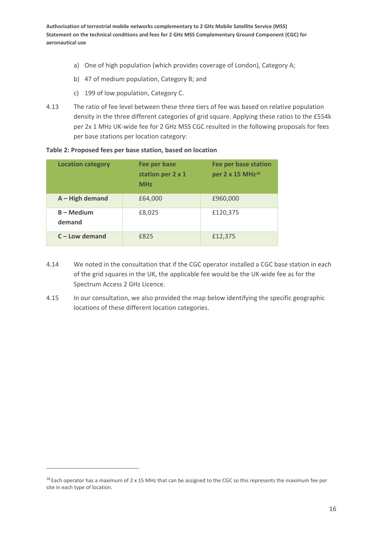- a) One of high population (which provides coverage of London), Category A;
- b) 47 of medium population, Category B; and
- c) 199 of low population, Category C.
- 4.13 The ratio of fee level between these three tiers of fee was based on relative population density in the three different categories of grid square. Applying these ratios to the £554k per 2x 1 MHz UK-wide fee for 2 GHz MSS CGC resulted in the following proposals for fees per base stations per location category:

|  |  | Table 2: Proposed fees per base station, based on location |  |  |  |  |  |  |  |
|--|--|------------------------------------------------------------|--|--|--|--|--|--|--|
|--|--|------------------------------------------------------------|--|--|--|--|--|--|--|

| <b>Location category</b> | Fee per base<br>station per 2 x 1<br><b>MHz</b> | <b>Fee per base station</b><br>per 2 x 15 MHz <sup>28</sup> |
|--------------------------|-------------------------------------------------|-------------------------------------------------------------|
| $A$ – High demand        | £64,000                                         | £960,000                                                    |
| $B - Medium$<br>demand   | £8,025                                          | £120,375                                                    |
| $C$ – Low demand         | £825                                            | £12,375                                                     |

- 4.14 We noted in the consultation that if the CGC operator installed a CGC base station in each of the grid squares in the UK, the applicable fee would be the UK-wide fee as for the Spectrum Access 2 GHz Licence.
- 4.15 In our consultation, we also provided the map below identifying the specific geographic locations of these different location categories.

 $\overline{a}$ 

<span id="page-18-0"></span> $28$  Each operator has a maximum of 2 x 15 MHz that can be assigned to the CGC so this represents the maximum fee per site in each type of location.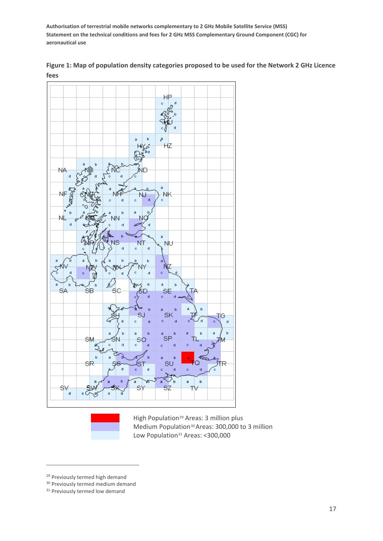

**Figure 1: Map of population density categories proposed to be used for the Network 2 GHz Licence fees**



High Population<sup>[29](#page-19-0)</sup> Areas: 3 million plus Medium Population<sup>[30](#page-19-1)</sup> Areas: 300,000 to 3 million Low Population<sup>[31](#page-19-2)</sup> Areas: <300,000

.<br>-

<span id="page-19-0"></span><sup>&</sup>lt;sup>29</sup> Previously termed high demand

<span id="page-19-1"></span><sup>&</sup>lt;sup>30</sup> Previously termed medium demand

<span id="page-19-2"></span><sup>&</sup>lt;sup>31</sup> Previously termed low demand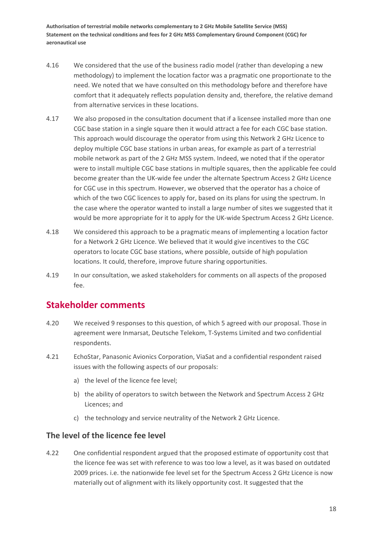- 4.16 We considered that the use of the business radio model (rather than developing a new methodology) to implement the location factor was a pragmatic one proportionate to the need. We noted that we have consulted on this methodology before and therefore have comfort that it adequately reflects population density and, therefore, the relative demand from alternative services in these locations.
- <span id="page-20-0"></span>4.17 We also proposed in the consultation document that if a licensee installed more than one CGC base station in a single square then it would attract a fee for each CGC base station. This approach would discourage the operator from using this Network 2 GHz Licence to deploy multiple CGC base stations in urban areas, for example as part of a terrestrial mobile network as part of the 2 GHz MSS system. Indeed, we noted that if the operator were to install multiple CGC base stations in multiple squares, then the applicable fee could become greater than the UK-wide fee under the alternate Spectrum Access 2 GHz Licence for CGC use in this spectrum. However, we observed that the operator has a choice of which of the two CGC licences to apply for, based on its plans for using the spectrum. In the case where the operator wanted to install a large number of sites we suggested that it would be more appropriate for it to apply for the UK-wide Spectrum Access 2 GHz Licence.
- 4.18 We considered this approach to be a pragmatic means of implementing a location factor for a Network 2 GHz Licence. We believed that it would give incentives to the CGC operators to locate CGC base stations, where possible, outside of high population locations. It could, therefore, improve future sharing opportunities.
- 4.19 In our consultation, we asked stakeholders for comments on all aspects of the proposed fee.

### **Stakeholder comments**

- 4.20 We received 9 responses to this question, of which 5 agreed with our proposal. Those in agreement were Inmarsat, Deutsche Telekom, T-Systems Limited and two confidential respondents.
- 4.21 EchoStar, Panasonic Avionics Corporation, ViaSat and a confidential respondent raised issues with the following aspects of our proposals:
	- a) the level of the licence fee level;
	- b) the ability of operators to switch between the Network and Spectrum Access 2 GHz Licences; and
	- c) the technology and service neutrality of the Network 2 GHz Licence.

#### **The level of the licence fee level**

4.22 One confidential respondent argued that the proposed estimate of opportunity cost that the licence fee was set with reference to was too low a level, as it was based on outdated 2009 prices. i.e. the nationwide fee level set for the Spectrum Access 2 GHz Licence is now materially out of alignment with its likely opportunity cost. It suggested that the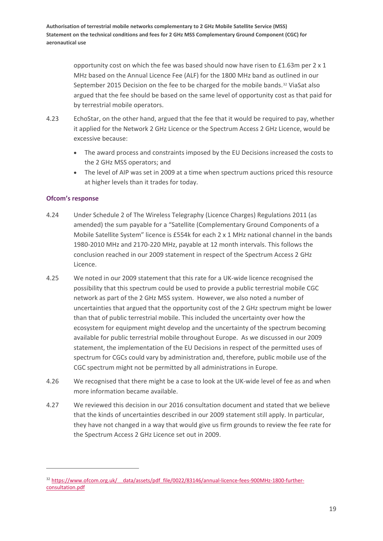> opportunity cost on which the fee was based should now have risen to £1.63m per 2 x 1 MHz based on the Annual Licence Fee (ALF) for the 1800 MHz band as outlined in our September 2015 Decision on the fee to be charged for the mobile bands.<sup>[32](#page-21-0)</sup> ViaSat also argued that the fee should be based on the same level of opportunity cost as that paid for by terrestrial mobile operators.

- 4.23 EchoStar, on the other hand, argued that the fee that it would be required to pay, whether it applied for the Network 2 GHz Licence or the Spectrum Access 2 GHz Licence, would be excessive because:
	- The award process and constraints imposed by the EU Decisions increased the costs to the 2 GHz MSS operators; and
	- The level of AIP was set in 2009 at a time when spectrum auctions priced this resource at higher levels than it trades for today.

#### **Ofcom's response**

 $\overline{a}$ 

- 4.24 Under Schedule 2 of The Wireless Telegraphy (Licence Charges) Regulations 2011 (as amended) the sum payable for a "Satellite (Complementary Ground Components of a Mobile Satellite System" licence is £554k for each 2 x 1 MHz national channel in the bands 1980-2010 MHz and 2170-220 MHz, payable at 12 month intervals. This follows the conclusion reached in our 2009 statement in respect of the Spectrum Access 2 GHz Licence.
- 4.25 We noted in our 2009 statement that this rate for a UK-wide licence recognised the possibility that this spectrum could be used to provide a public terrestrial mobile CGC network as part of the 2 GHz MSS system. However, we also noted a number of uncertainties that argued that the opportunity cost of the 2 GHz spectrum might be lower than that of public terrestrial mobile. This included the uncertainty over how the ecosystem for equipment might develop and the uncertainty of the spectrum becoming available for public terrestrial mobile throughout Europe. As we discussed in our 2009 statement, the implementation of the EU Decisions in respect of the permitted uses of spectrum for CGCs could vary by administration and, therefore, public mobile use of the CGC spectrum might not be permitted by all administrations in Europe.
- 4.26 We recognised that there might be a case to look at the UK-wide level of fee as and when more information became available.
- 4.27 We reviewed this decision in our 2016 consultation document and stated that we believe that the kinds of uncertainties described in our 2009 statement still apply. In particular, they have not changed in a way that would give us firm grounds to review the fee rate for the Spectrum Access 2 GHz Licence set out in 2009.

<span id="page-21-0"></span><sup>&</sup>lt;sup>32</sup> https://www.ofcom.org.uk/ data/assets/pdf file/0022/83146/annual-licence-fees-900MHz-1800-further[consultation.pdf](https://www.ofcom.org.uk/__data/assets/pdf_file/0022/83146/annual-licence-fees-900MHz-1800-further-consultation.pdf)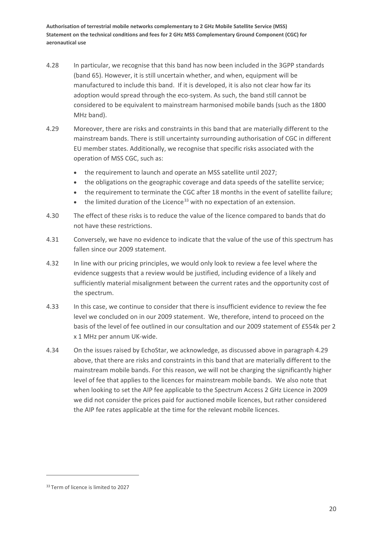- 4.28 In particular, we recognise that this band has now been included in the 3GPP standards (band 65). However, it is still uncertain whether, and when, equipment will be manufactured to include this band. If it is developed, it is also not clear how far its adoption would spread through the eco-system. As such, the band still cannot be considered to be equivalent to mainstream harmonised mobile bands (such as the 1800 MHz band).
- <span id="page-22-0"></span>4.29 Moreover, there are risks and constraints in this band that are materially different to the mainstream bands. There is still uncertainty surrounding authorisation of CGC in different EU member states. Additionally, we recognise that specific risks associated with the operation of MSS CGC, such as:
	- the requirement to launch and operate an MSS satellite until 2027;
	- the obligations on the geographic coverage and data speeds of the satellite service;
	- the requirement to terminate the CGC after 18 months in the event of satellite failure;
	- $\bullet$  the limited duration of the Licence<sup>[33](#page-22-1)</sup> with no expectation of an extension.
- 4.30 The effect of these risks is to reduce the value of the licence compared to bands that do not have these restrictions.
- 4.31 Conversely, we have no evidence to indicate that the value of the use of this spectrum has fallen since our 2009 statement.
- 4.32 In line with our pricing principles, we would only look to review a fee level where the evidence suggests that a review would be justified, including evidence of a likely and sufficiently material misalignment between the current rates and the opportunity cost of the spectrum.
- 4.33 In this case, we continue to consider that there is insufficient evidence to review the fee level we concluded on in our 2009 statement. We, therefore, intend to proceed on the basis of the level of fee outlined in our consultation and our 2009 statement of £554k per 2 x 1 MHz per annum UK-wide.
- 4.34 On the issues raised by EchoStar, we acknowledge, as discussed above in paragraph [4.29](#page-22-0) above, that there are risks and constraints in this band that are materially different to the mainstream mobile bands. For this reason, we will not be charging the significantly higher level of fee that applies to the licences for mainstream mobile bands. We also note that when looking to set the AIP fee applicable to the Spectrum Access 2 GHz Licence in 2009 we did not consider the prices paid for auctioned mobile licences, but rather considered the AIP fee rates applicable at the time for the relevant mobile licences.

<span id="page-22-1"></span><sup>&</sup>lt;sup>33</sup> Term of licence is limited to 2027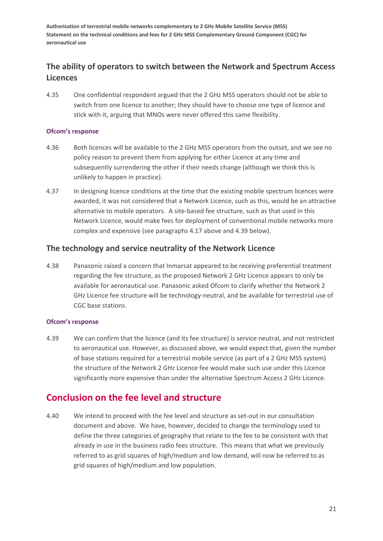### **The ability of operators to switch between the Network and Spectrum Access Licences**

4.35 One confidential respondent argued that the 2 GHz MSS operators should not be able to switch from one licence to another; they should have to choose one type of licence and stick with it, arguing that MNOs were never offered this same flexibility.

#### **Ofcom's response**

- 4.36 Both licences will be available to the 2 GHz MSS operators from the outset, and we see no policy reason to prevent them from applying for either Licence at any time and subsequently surrendering the other if their needs change (although we think this is unlikely to happen in practice).
- 4.37 In designing licence conditions at the time that the existing mobile spectrum licences were awarded, it was not considered that a Network Licence, such as this, would be an attractive alternative to mobile operators. A site-based fee structure, such as that used in this Network Licence, would make fees for deployment of conventional mobile networks more complex and expensive (see paragraphs [4.17](#page-20-0) above and [4.39](#page-23-0) below).

#### **The technology and service neutrality of the Network Licence**

4.38 Panasonic raised a concern that Inmarsat appeared to be receiving preferential treatment regarding the fee structure, as the proposed Network 2 GHz Licence appears to only be available for aeronautical use. Panasonic asked Ofcom to clarify whether the Network 2 GHz Licence fee structure will be technology-neutral, and be available for terrestrial use of CGC base stations.

#### **Ofcom's response**

<span id="page-23-0"></span>4.39 We can confirm that the licence (and its fee structure) is service neutral, and not restricted to aeronautical use. However, as discussed above, we would expect that, given the number of base stations required for a terrestrial mobile service (as part of a 2 GHz MSS system) the structure of the Network 2 GHz Licence fee would make such use under this Licence significantly more expensive than under the alternative Spectrum Access 2 GHz Licence.

### **Conclusion on the fee level and structure**

4.40 We intend to proceed with the fee level and structure as set-out in our consultation document and above. We have, however, decided to change the terminology used to define the three categories of geography that relate to the fee to be consistent with that already in use in the business radio fees structure. This means that what we previously referred to as grid squares of high/medium and low demand, will now be referred to as grid squares of high/medium and low population.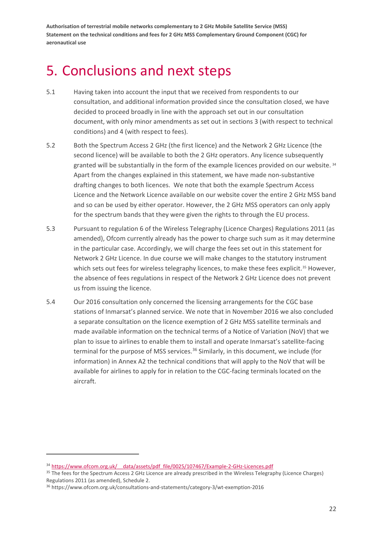## <span id="page-24-0"></span>5. Conclusions and next steps

- 5.1 Having taken into account the input that we received from respondents to our consultation, and additional information provided since the consultation closed, we have decided to proceed broadly in line with the approach set out in our consultation document, with only minor amendments as set out in sections [3](#page-7-0) (with respect to technical conditions) and [4](#page-16-0) (with respect to fees).
- 5.2 Both the Spectrum Access 2 GHz (the first licence) and the Network 2 GHz Licence (the second licence) will be available to both the 2 GHz operators. Any licence subsequently granted will be substantially in the form of the example licences provided on our website.<sup>[34](#page-24-1)</sup> Apart from the changes explained in this statement, we have made non-substantive drafting changes to both licences. We note that both the example Spectrum Access Licence and the Network Licence available on our website cover the entire 2 GHz MSS band and so can be used by either operator. However, the 2 GHz MSS operators can only apply for the spectrum bands that they were given the rights to through the EU process.
- 5.3 Pursuant to regulation 6 of the Wireless Telegraphy (Licence Charges) Regulations 2011 (as amended), Ofcom currently already has the power to charge such sum as it may determine in the particular case. Accordingly, we will charge the fees set out in this statement for Network 2 GHz Licence. In due course we will make changes to the statutory instrument which sets out fees for wireless telegraphy licences, to make these fees explicit.<sup>[35](#page-24-2)</sup> However, the absence of fees regulations in respect of the Network 2 GHz Licence does not prevent us from issuing the licence.
- 5.4 Our 2016 consultation only concerned the licensing arrangements for the CGC base stations of Inmarsat's planned service. We note that in November 2016 we also concluded a separate consultation on the licence exemption of 2 GHz MSS satellite terminals and made available information on the technical terms of a Notice of Variation (NoV) that we plan to issue to airlines to enable them to install and operate Inmarsat's satellite-facing terminal for the purpose of MSS services.<sup>[36](#page-24-3)</sup> Similarly, in this document, we include (for information) in Annex [A2](#page-26-0) the technical conditions that will apply to the NoV that will be available for airlines to apply for in relation to the CGC-facing terminals located on the aircraft.

<span id="page-24-1"></span><sup>&</sup>lt;sup>34</sup> https://www.ofcom.org.uk/ data/assets/pdf file/0025/107467/Example-2-GHz-Licences.pdf

<span id="page-24-2"></span><sup>&</sup>lt;sup>35</sup> The fees for the Spectrum Access 2 GHz Licence are already prescribed in the Wireless Telegraphy (Licence Charges) Regulations 2011 (as amended), Schedule 2.

<span id="page-24-3"></span><sup>36</sup> <https://www.ofcom.org.uk/consultations-and-statements/category-3/wt-exemption-2016>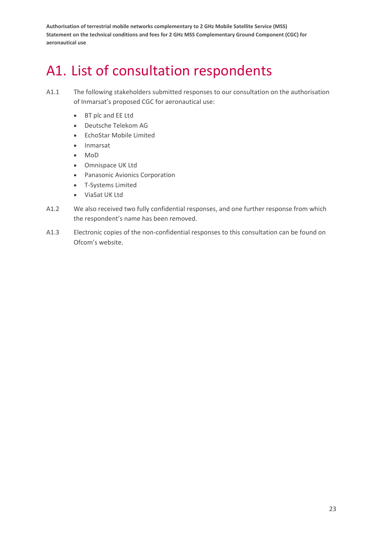## <span id="page-25-0"></span>A1. List of consultation respondents

- A1.1 The following stakeholders submitted responses to our consultation on the authorisation of Inmarsat's proposed CGC for aeronautical use:
	- BT plc and EE Ltd
	- Deutsche Telekom AG
	- EchoStar Mobile Limited
	- Inmarsat
	- MoD
	- Omnispace UK Ltd
	- Panasonic Avionics Corporation
	- T-Systems Limited
	- ViaSat UK Ltd
- A1.2 We also received two fully confidential responses, and one further response from which the respondent's name has been removed.
- A1.3 Electronic copies of the non-confidential responses to this consultation can be found on Ofcom's website.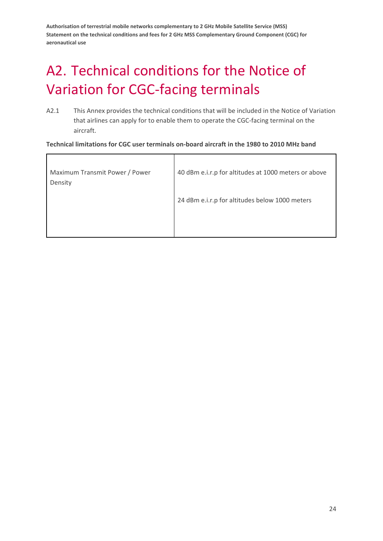# <span id="page-26-0"></span>A2. Technical conditions for the Notice of Variation for CGC-facing terminals

A2.1 This Annex provides the technical conditions that will be included in the Notice of Variation that airlines can apply for to enable them to operate the CGC-facing terminal on the aircraft.

**Technical limitations for CGC user terminals on-board aircraft in the 1980 to 2010 MHz band**

| Maximum Transmit Power / Power<br>Density | 40 dBm e.i.r.p for altitudes at 1000 meters or above |
|-------------------------------------------|------------------------------------------------------|
|                                           | 24 dBm e.i.r.p for altitudes below 1000 meters       |
|                                           |                                                      |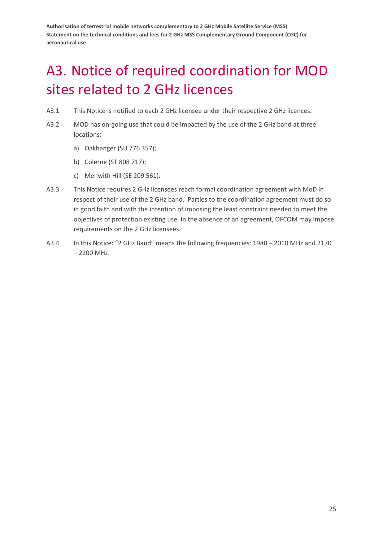# <span id="page-27-0"></span>A3. Notice of required coordination for MOD sites related to 2 GHz licences

- A3.1 This Notice is notified to each 2 GHz licensee under their respective 2 GHz licences.
- A3.2 MOD has on-going use that could be impacted by the use of the 2 GHz band at three locations:
	- a) Oakhanger (SU 776 357);
	- b) Colerne (ST 808 717);
	- c) Menwith Hill (SE 209 561).
- A3.3 This Notice requires 2 GHz licensees reach formal coordination agreement with MoD in respect of their use of the 2 GHz band. Parties to the coordination agreement must do so in good faith and with the intention of imposing the least constraint needed to meet the objectives of protection existing use. In the absence of an agreement, OFCOM may impose requirements on the 2 GHz licensees.
- A3.4 In this Notice: "2 GHz Band" means the following frequencies: 1980 2010 MHz and 2170 – 2200 MHz.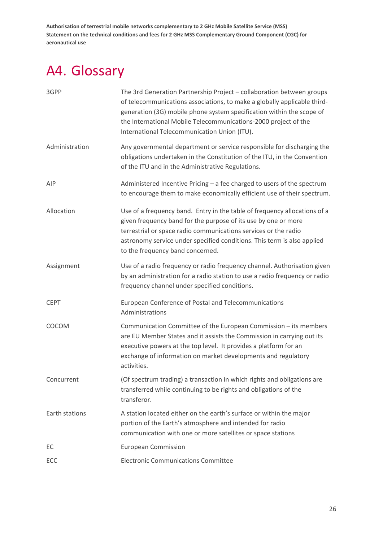# <span id="page-28-0"></span>A4. Glossary

| 3GPP           | The 3rd Generation Partnership Project - collaboration between groups<br>of telecommunications associations, to make a globally applicable third-<br>generation (3G) mobile phone system specification within the scope of<br>the International Mobile Telecommunications-2000 project of the<br>International Telecommunication Union (ITU). |
|----------------|-----------------------------------------------------------------------------------------------------------------------------------------------------------------------------------------------------------------------------------------------------------------------------------------------------------------------------------------------|
| Administration | Any governmental department or service responsible for discharging the<br>obligations undertaken in the Constitution of the ITU, in the Convention<br>of the ITU and in the Administrative Regulations.                                                                                                                                       |
| AIP            | Administered Incentive Pricing - a fee charged to users of the spectrum<br>to encourage them to make economically efficient use of their spectrum.                                                                                                                                                                                            |
| Allocation     | Use of a frequency band. Entry in the table of frequency allocations of a<br>given frequency band for the purpose of its use by one or more<br>terrestrial or space radio communications services or the radio<br>astronomy service under specified conditions. This term is also applied<br>to the frequency band concerned.                 |
| Assignment     | Use of a radio frequency or radio frequency channel. Authorisation given<br>by an administration for a radio station to use a radio frequency or radio<br>frequency channel under specified conditions.                                                                                                                                       |
| <b>CEPT</b>    | European Conference of Postal and Telecommunications<br>Administrations                                                                                                                                                                                                                                                                       |
| COCOM          | Communication Committee of the European Commission - its members<br>are EU Member States and it assists the Commission in carrying out its<br>executive powers at the top level. It provides a platform for an<br>exchange of information on market developments and regulatory<br>activities.                                                |
| Concurrent     | (Of spectrum trading) a transaction in which rights and obligations are<br>transferred while continuing to be rights and obligations of the<br>transferor.                                                                                                                                                                                    |
| Earth stations | A station located either on the earth's surface or within the major<br>portion of the Earth's atmosphere and intended for radio<br>communication with one or more satellites or space stations                                                                                                                                                |
| EC.            | <b>European Commission</b>                                                                                                                                                                                                                                                                                                                    |
| ECC            | <b>Electronic Communications Committee</b>                                                                                                                                                                                                                                                                                                    |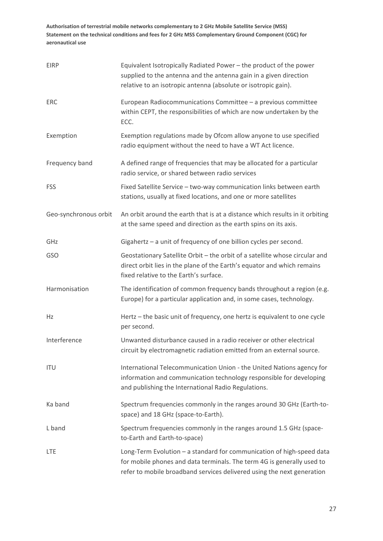| <b>EIRP</b>           | Equivalent Isotropically Radiated Power - the product of the power<br>supplied to the antenna and the antenna gain in a given direction<br>relative to an isotropic antenna (absolute or isotropic gain).                 |
|-----------------------|---------------------------------------------------------------------------------------------------------------------------------------------------------------------------------------------------------------------------|
| <b>ERC</b>            | European Radiocommunications Committee - a previous committee<br>within CEPT, the responsibilities of which are now undertaken by the<br>ECC.                                                                             |
| Exemption             | Exemption regulations made by Ofcom allow anyone to use specified<br>radio equipment without the need to have a WT Act licence.                                                                                           |
| Frequency band        | A defined range of frequencies that may be allocated for a particular<br>radio service, or shared between radio services                                                                                                  |
| <b>FSS</b>            | Fixed Satellite Service - two-way communication links between earth<br>stations, usually at fixed locations, and one or more satellites                                                                                   |
| Geo-synchronous orbit | An orbit around the earth that is at a distance which results in it orbiting<br>at the same speed and direction as the earth spins on its axis.                                                                           |
| GHz                   | Gigahertz - a unit of frequency of one billion cycles per second.                                                                                                                                                         |
| GSO                   | Geostationary Satellite Orbit - the orbit of a satellite whose circular and<br>direct orbit lies in the plane of the Earth's equator and which remains<br>fixed relative to the Earth's surface.                          |
| Harmonisation         | The identification of common frequency bands throughout a region (e.g.<br>Europe) for a particular application and, in some cases, technology.                                                                            |
| <b>Hz</b>             | Hertz - the basic unit of frequency, one hertz is equivalent to one cycle<br>per second.                                                                                                                                  |
| Interference          | Unwanted disturbance caused in a radio receiver or other electrical<br>circuit by electromagnetic radiation emitted from an external source.                                                                              |
| <b>ITU</b>            | International Telecommunication Union - the United Nations agency for<br>information and communication technology responsible for developing<br>and publishing the International Radio Regulations.                       |
| Ka band               | Spectrum frequencies commonly in the ranges around 30 GHz (Earth-to-<br>space) and 18 GHz (space-to-Earth).                                                                                                               |
| L band                | Spectrum frequencies commonly in the ranges around 1.5 GHz (space-<br>to-Earth and Earth-to-space)                                                                                                                        |
| <b>LTE</b>            | Long-Term Evolution - a standard for communication of high-speed data<br>for mobile phones and data terminals. The term 4G is generally used to<br>refer to mobile broadband services delivered using the next generation |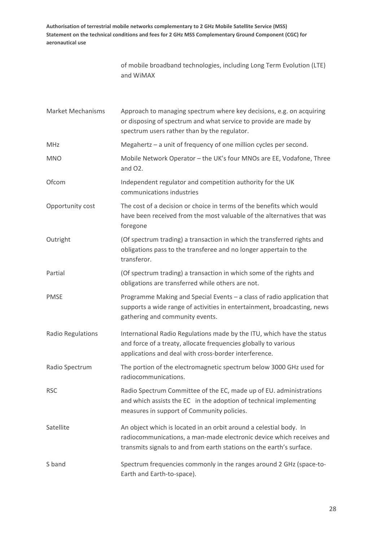> of mobile broadband technologies, including Long Term Evolution (LTE) and WiMAX

| <b>Market Mechanisms</b> | Approach to managing spectrum where key decisions, e.g. on acquiring<br>or disposing of spectrum and what service to provide are made by<br>spectrum users rather than by the regulator.                           |
|--------------------------|--------------------------------------------------------------------------------------------------------------------------------------------------------------------------------------------------------------------|
| MHz                      | Megahertz - a unit of frequency of one million cycles per second.                                                                                                                                                  |
| <b>MNO</b>               | Mobile Network Operator - the UK's four MNOs are EE, Vodafone, Three<br>and O2.                                                                                                                                    |
| Ofcom                    | Independent regulator and competition authority for the UK<br>communications industries                                                                                                                            |
| Opportunity cost         | The cost of a decision or choice in terms of the benefits which would<br>have been received from the most valuable of the alternatives that was<br>foregone                                                        |
| Outright                 | (Of spectrum trading) a transaction in which the transferred rights and<br>obligations pass to the transferee and no longer appertain to the<br>transferor.                                                        |
| Partial                  | (Of spectrum trading) a transaction in which some of the rights and<br>obligations are transferred while others are not.                                                                                           |
| <b>PMSE</b>              | Programme Making and Special Events - a class of radio application that<br>supports a wide range of activities in entertainment, broadcasting, news<br>gathering and community events.                             |
| Radio Regulations        | International Radio Regulations made by the ITU, which have the status<br>and force of a treaty, allocate frequencies globally to various<br>applications and deal with cross-border interference.                 |
| Radio Spectrum           | The portion of the electromagnetic spectrum below 3000 GHz used for<br>radiocommunications.                                                                                                                        |
| <b>RSC</b>               | Radio Spectrum Committee of the EC, made up of EU. administrations<br>and which assists the EC in the adoption of technical implementing<br>measures in support of Community policies.                             |
| Satellite                | An object which is located in an orbit around a celestial body. In<br>radiocommunications, a man-made electronic device which receives and<br>transmits signals to and from earth stations on the earth's surface. |
| S band                   | Spectrum frequencies commonly in the ranges around 2 GHz (space-to-<br>Earth and Earth-to-space).                                                                                                                  |